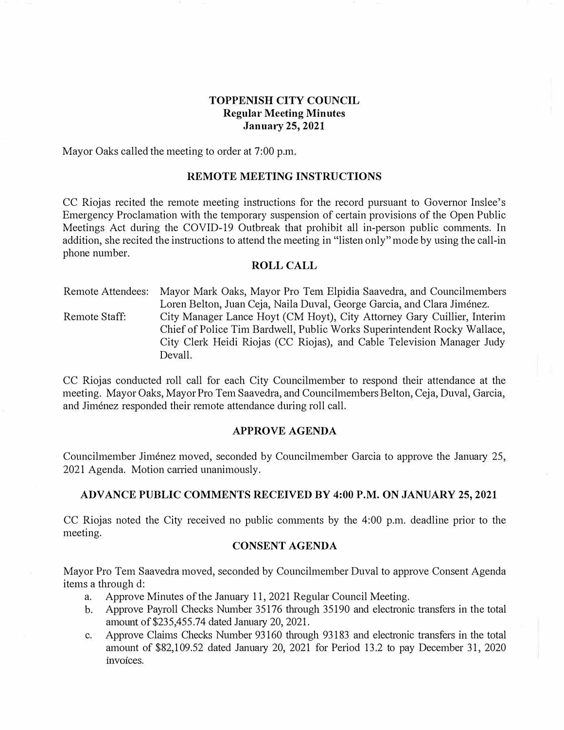# **TOPPENISH CITY COUNCIL Regular Meeting Minutes January 25, 2021**

Mayor Oaks called the meeting to order at 7:00 p.m.

#### **REMOTE MEETING INSTRUCTIONS**

CC Riojas recited the remote meeting instructions for the record pursuant to Governor Inslee's Emergency Proclamation with the temporary suspension of certain provisions of the Open Public Meetings Act during the COVID-19 Outbreak that prohibit all in-person public comments. In addition, she recited the instructions to attend the meeting in "listen only" mode by using the call-in phone number.

#### **ROLL CALL**

Remote Attendees: Mayor Mark Oaks, Mayor Pro Tern Elpidia Saavedra, and Councilmembers Loren Belton, Juan Ceja, Naila Duval, George Garcia, and Clara Jiménez. Remote Staff: City Manager Lance Hoyt (CM Hoyt), City Attorney Gary Cuillier, Interim Chief of Police Tim Bardwell, Public Works Superintendent Rocky Wallace, City Clerk Heidi Riojas (CC Riojas), and Cable Television Manager Judy Devall.

CC Riojas conducted roll call for each City Councilmember to respond their attendance at the meeting. Mayor Oaks, Mayor Pro Tem Saavedra, and Councilmembers Belton, Ceja, Duval, Garcia, and Jiménez responded their remote attendance during roll call.

#### **APPROVE AGENDA**

Councilmember Jiménez moved, seconded by Councilmember Garcia to approve the January 25, 2021 Agenda. Motion carried unanimously.

### **ADVANCE PUBLIC COMMENTS RECEIVED BY 4:00 P.M. ON JANUARY 25, 2021**

CC Riojas noted the City received no public conunents by the 4:00 p.m. deadline prior to the meeting.

#### **CONSENT AGENDA**

Mayor Pro Tem Saavedra moved, seconded by Councilmember Duval to approve Consent Agenda items a through d:

- a. Approve Minutes of the January 11, 2021 Regular Council Meeting.
- b. Approve Payroll Checks Number 35176 through 35190 and electronic transfers in the total amount of \$235,455.74 dated January 20, 2021.
- c. Approve Claims Checks Number 93160 through 93183 and electronic transfers in the total amount of \$82,109.52 dated Janumy 20, 2021 for Period 13.2 to pay December 31, 2020 invoices.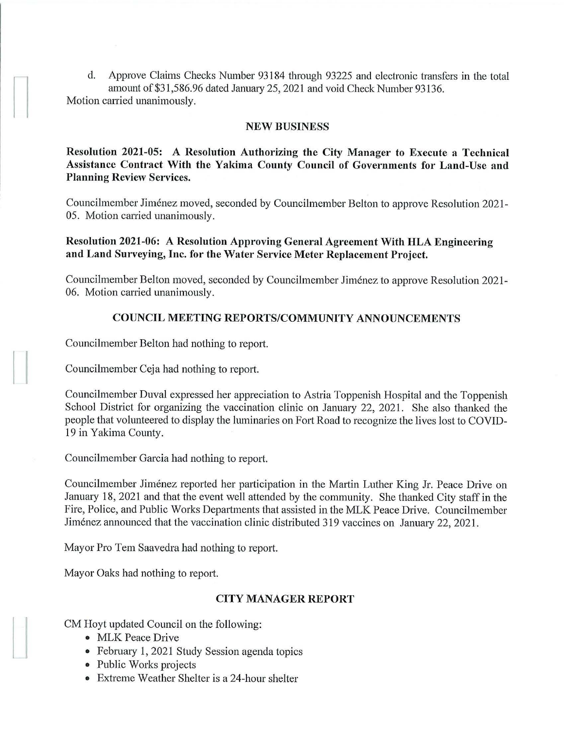d. Approve Claims Checks Number 93184 through 93225 and electronic transfers in the total amount of \$31,586.96 dated January 25, 2021 and void Check Number 93136. Motion carried unanimously.

### **NEW BUSINESS**

**Resolution 2021-05: A Resolution Authorizing the City Manager to Execute a Teclmical Assistance Contract With the Yakima County Council of Governments for Land-Use and Planning Review Services.** 

Councilmember Jimenez moved, seconded by Councilmember Belton to approve Resolution 2021- 05. Motion carried unanimously.

**Resolution 2021-06: A Resolution Approving General Agreement With HLA Engineering and Land Surveying, Inc. for the Water Service Meter Replacement Project.** 

Councilmember Belton moved, seconded by Councilmember Jimenez to approve Resolution 2021- 06. Motion carried unanimously.

## **COUNCIL MEETING REPORTS/COMMUNITY ANNOUNCEMENTS**

Councilmember Belton had nothing to report.

Councilmember Ceja had nothing to report.

Councilmember Duval expressed her appreciation to Astria Toppenish Hospital and the Toppenish School District for organizing the vaccination clinic on January 22, 2021. She also thanked the people that volunteered to display the luminaries on Fort Road to recognize the lives lost to COVID-19 in Yakima County.

Councilmember Garcia had nothing to report.

Councilmember Jiménez reported her participation in the Martin Luther King Jr. Peace Drive on January 18, 2021 and that the event well attended by the community. She thanked City staff in the Fire, Police, and Public Works Departments that assisted in the MLK Peace Drive. Councilmember Jiménez announced that the vaccination clinic distributed 319 vaccines on January 22, 2021.

Mayor Pro Tern Saavedra had nothing to report.

Mayor Oaks had nothing to report.

# **CITY MANAGER REPORT**

CM Hoyt updated Council on the following:

- MLK Peace Drive
- February 1, 2021 Study Session agenda topics
- Public Works projects
- Extreme Weather Shelter is a 24-hour shelter